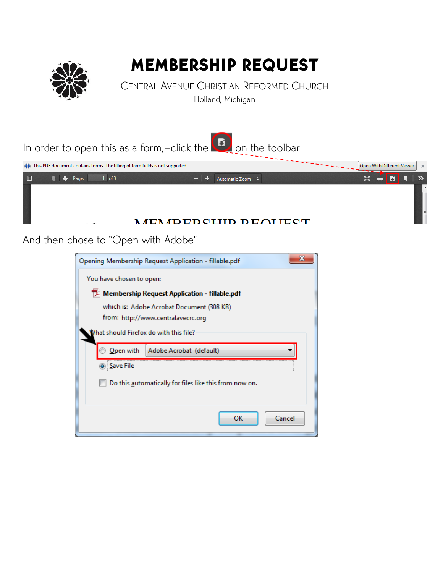

## MEMBERSHIP REQUEST

CENTRAL AVENUE CHRISTIAN REFORMED CHURCH Holland, Michigan



And then chose to "Open with Adobe"

| Opening Membership Request Application - fillable.pdf  |  |  |  |  |  |  |
|--------------------------------------------------------|--|--|--|--|--|--|
| You have chosen to open:                               |  |  |  |  |  |  |
| Membership Request Application - fillable.pdf          |  |  |  |  |  |  |
| which is: Adobe Acrobat Document (308 KB)              |  |  |  |  |  |  |
| from: http://www.centralavecrc.org                     |  |  |  |  |  |  |
| What should Firefox do with this file?                 |  |  |  |  |  |  |
| $Q$ pen with<br>Adobe Acrobat (default)                |  |  |  |  |  |  |
| <b>Save File</b>                                       |  |  |  |  |  |  |
| Do this automatically for files like this from now on. |  |  |  |  |  |  |
|                                                        |  |  |  |  |  |  |
| ок<br>Cancel                                           |  |  |  |  |  |  |
|                                                        |  |  |  |  |  |  |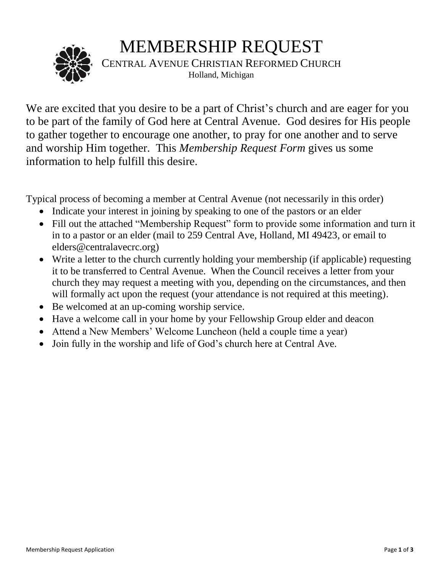## MEMBERSHIP REQUEST



CENTRAL AVENUE CHRISTIAN REFORMED CHURCH Holland, Michigan

We are excited that you desire to be a part of Christ's church and are eager for you to be part of the family of God here at Central Avenue. God desires for His people to gather together to encourage one another, to pray for one another and to serve and worship Him together. This *Membership Request Form* gives us some information to help fulfill this desire.

Typical process of becoming a member at Central Avenue (not necessarily in this order)

- Indicate your interest in joining by speaking to one of the pastors or an elder
- Fill out the attached "Membership Request" form to provide some information and turn it in to a pastor or an elder (mail to 259 Central Ave, Holland, MI 49423, or email to elders@centralavecrc.org)
- Write a letter to the church currently holding your membership (if applicable) requesting it to be transferred to Central Avenue. When the Council receives a letter from your church they may request a meeting with you, depending on the circumstances, and then will formally act upon the request (your attendance is not required at this meeting).
- Be welcomed at an up-coming worship service.
- Have a welcome call in your home by your Fellowship Group elder and deacon
- Attend a New Members' Welcome Luncheon (held a couple time a year)
- Join fully in the worship and life of God's church here at Central Ave.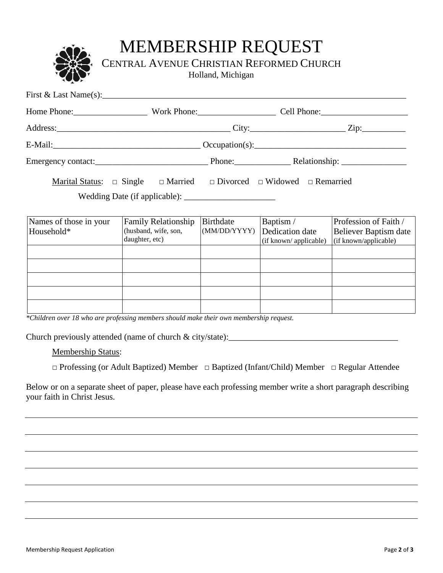## MEMBERSHIP REQUEST

CENTRAL AVENUE CHRISTIAN REFORMED CHURCH

Holland, Michigan

| First & Last Name(s): $\frac{1}{2}$ Manual Manual Manual Manual Manual Manual Manual Manual Manual Manual Manual Manual Manual Manual Manual Manual Manual Manual Manual Manual Manual Manual Manual Manual Manual Manual Manual |  |  |                                                 |  |
|----------------------------------------------------------------------------------------------------------------------------------------------------------------------------------------------------------------------------------|--|--|-------------------------------------------------|--|
|                                                                                                                                                                                                                                  |  |  | Home Phone: Work Phone: Cell Phone: Cell Phone: |  |
|                                                                                                                                                                                                                                  |  |  |                                                 |  |
| E-Mail: $\qquad \qquad 1.2$ Decupation(s): $\qquad \qquad 0$ Constant (s):                                                                                                                                                       |  |  |                                                 |  |
|                                                                                                                                                                                                                                  |  |  |                                                 |  |
| Marital Status: $\Box$ Single $\Box$ Married $\Box$ Divorced $\Box$ Widowed $\Box$ Remarried                                                                                                                                     |  |  |                                                 |  |
|                                                                                                                                                                                                                                  |  |  |                                                 |  |

| Names of those in your | <b>Family Relationship</b> | Birthdate    | Baptism/              | Profession of Faith / |
|------------------------|----------------------------|--------------|-----------------------|-----------------------|
| Household*             | (husband, wife, son,       | (MM/DD/YYYY) | Dedication date       | Believer Baptism date |
|                        | daughter, etc)             |              | (if known/applicable) | (if known/applicable) |
|                        |                            |              |                       |                       |
|                        |                            |              |                       |                       |
|                        |                            |              |                       |                       |
|                        |                            |              |                       |                       |
|                        |                            |              |                       |                       |

*\*Children over 18 who are professing members should make their own membership request.*

Church previously attended (name of church  $\&$  city/state):

Membership Status:

□ Professing (or Adult Baptized) Member □ Baptized (Infant/Child) Member □ Regular Attendee

Below or on a separate sheet of paper, please have each professing member write a short paragraph describing your faith in Christ Jesus.